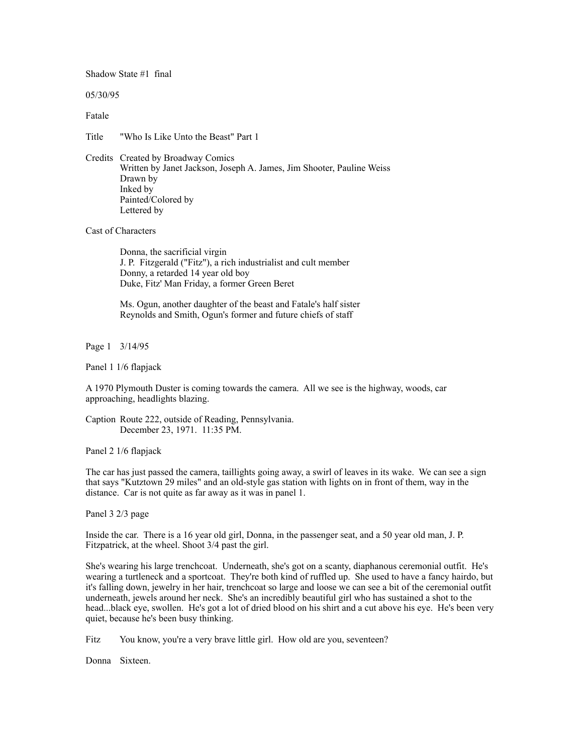Shadow State #1 final

05/30/95

Fatale

Title "Who Is Like Unto the Beast" Part 1

Credits Created by Broadway Comics Written by Janet Jackson, Joseph A. James, Jim Shooter, Pauline Weiss Drawn by Inked by Painted/Colored by Lettered by

Cast of Characters

 Donna, the sacrificial virgin J. P. Fitzgerald ("Fitz"), a rich industrialist and cult member Donny, a retarded 14 year old boy Duke, Fitz' Man Friday, a former Green Beret

 Ms. Ogun, another daughter of the beast and Fatale's half sister Reynolds and Smith, Ogun's former and future chiefs of staff

Page 1 3/14/95

Panel 1 1/6 flapjack

A 1970 Plymouth Duster is coming towards the camera. All we see is the highway, woods, car approaching, headlights blazing.

Caption Route 222, outside of Reading, Pennsylvania. December 23, 1971. 11:35 PM.

Panel 2 1/6 flapjack

The car has just passed the camera, taillights going away, a swirl of leaves in its wake. We can see a sign that says "Kutztown 29 miles" and an old-style gas station with lights on in front of them, way in the distance. Car is not quite as far away as it was in panel 1.

Panel 3 2/3 page

Inside the car. There is a 16 year old girl, Donna, in the passenger seat, and a 50 year old man, J. P. Fitzpatrick, at the wheel. Shoot 3/4 past the girl.

She's wearing his large trenchcoat. Underneath, she's got on a scanty, diaphanous ceremonial outfit. He's wearing a turtleneck and a sportcoat. They're both kind of ruffled up. She used to have a fancy hairdo, but it's falling down, jewelry in her hair, trenchcoat so large and loose we can see a bit of the ceremonial outfit underneath, jewels around her neck. She's an incredibly beautiful girl who has sustained a shot to the head...black eye, swollen. He's got a lot of dried blood on his shirt and a cut above his eye. He's been very quiet, because he's been busy thinking.

Fitz You know, you're a very brave little girl. How old are you, seventeen?

Donna Sixteen.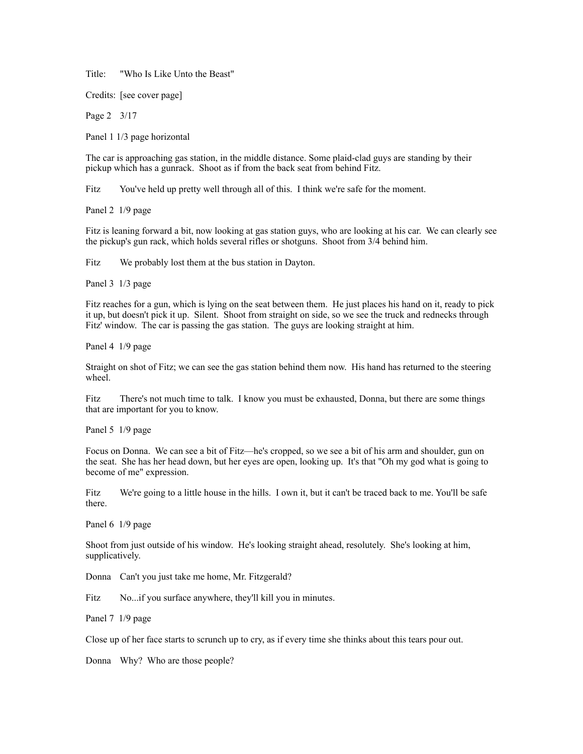Title: "Who Is Like Unto the Beast"

Credits: [see cover page]

Page 2 3/17

Panel 1 1/3 page horizontal

The car is approaching gas station, in the middle distance. Some plaid-clad guys are standing by their pickup which has a gunrack. Shoot as if from the back seat from behind Fitz.

Fitz You've held up pretty well through all of this. I think we're safe for the moment.

Panel 2 1/9 page

Fitz is leaning forward a bit, now looking at gas station guys, who are looking at his car. We can clearly see the pickup's gun rack, which holds several rifles or shotguns. Shoot from 3/4 behind him.

Fitz We probably lost them at the bus station in Dayton.

Panel 3 1/3 page

Fitz reaches for a gun, which is lying on the seat between them. He just places his hand on it, ready to pick it up, but doesn't pick it up. Silent. Shoot from straight on side, so we see the truck and rednecks through Fitz' window. The car is passing the gas station. The guys are looking straight at him.

Panel 4 1/9 page

Straight on shot of Fitz; we can see the gas station behind them now. His hand has returned to the steering wheel.

Fitz There's not much time to talk. I know you must be exhausted, Donna, but there are some things that are important for you to know.

Panel 5 1/9 page

Focus on Donna. We can see a bit of Fitz—he's cropped, so we see a bit of his arm and shoulder, gun on the seat. She has her head down, but her eyes are open, looking up. It's that "Oh my god what is going to become of me" expression.

Fitz We're going to a little house in the hills. I own it, but it can't be traced back to me. You'll be safe there.

Panel 6 1/9 page

Shoot from just outside of his window. He's looking straight ahead, resolutely. She's looking at him, supplicatively.

Donna Can't you just take me home, Mr. Fitzgerald?

Fitz No...if you surface anywhere, they'll kill you in minutes.

Panel 7 1/9 page

Close up of her face starts to scrunch up to cry, as if every time she thinks about this tears pour out.

Donna Why? Who are those people?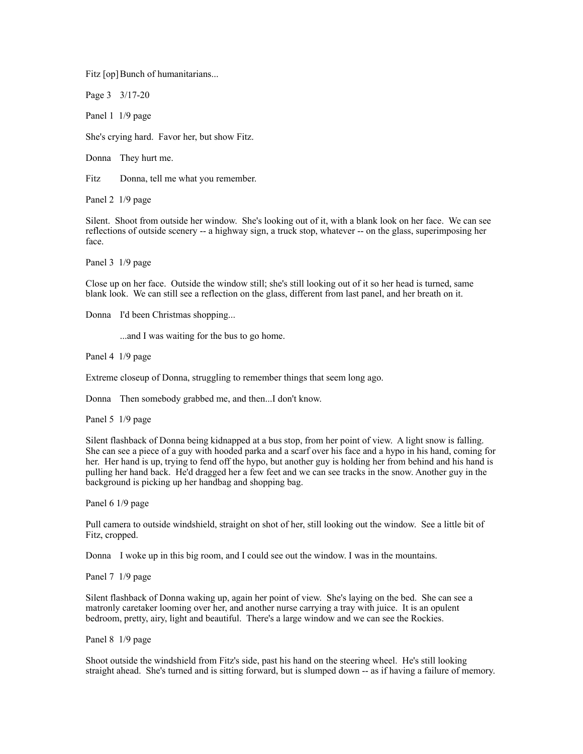Fitz [op] Bunch of humanitarians...

Page 3 3/17-20

Panel 1 1/9 page

She's crying hard. Favor her, but show Fitz.

Donna They hurt me.

Fitz Donna, tell me what you remember.

Panel 2 1/9 page

Silent. Shoot from outside her window. She's looking out of it, with a blank look on her face. We can see reflections of outside scenery -- a highway sign, a truck stop, whatever -- on the glass, superimposing her face.

Panel 3 1/9 page

Close up on her face. Outside the window still; she's still looking out of it so her head is turned, same blank look. We can still see a reflection on the glass, different from last panel, and her breath on it.

Donna I'd been Christmas shopping...

...and I was waiting for the bus to go home.

Panel 4 1/9 page

Extreme closeup of Donna, struggling to remember things that seem long ago.

Donna Then somebody grabbed me, and then...I don't know.

Panel 5 1/9 page

Silent flashback of Donna being kidnapped at a bus stop, from her point of view. A light snow is falling. She can see a piece of a guy with hooded parka and a scarf over his face and a hypo in his hand, coming for her. Her hand is up, trying to fend off the hypo, but another guy is holding her from behind and his hand is pulling her hand back. He'd dragged her a few feet and we can see tracks in the snow. Another guy in the background is picking up her handbag and shopping bag.

Panel 6 1/9 page

Pull camera to outside windshield, straight on shot of her, still looking out the window. See a little bit of Fitz, cropped.

Donna I woke up in this big room, and I could see out the window. I was in the mountains.

Panel 7 1/9 page

Silent flashback of Donna waking up, again her point of view. She's laying on the bed. She can see a matronly caretaker looming over her, and another nurse carrying a tray with juice. It is an opulent bedroom, pretty, airy, light and beautiful. There's a large window and we can see the Rockies.

Panel 8 1/9 page

Shoot outside the windshield from Fitz's side, past his hand on the steering wheel. He's still looking straight ahead. She's turned and is sitting forward, but is slumped down -- as if having a failure of memory.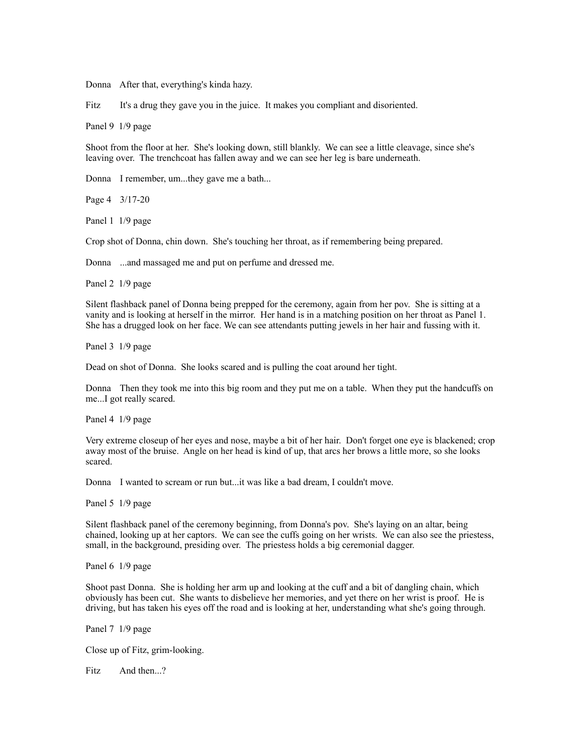Donna After that, everything's kinda hazy.

Fitz It's a drug they gave you in the juice. It makes you compliant and disoriented.

Panel 9 1/9 page

Shoot from the floor at her. She's looking down, still blankly. We can see a little cleavage, since she's leaving over. The trenchcoat has fallen away and we can see her leg is bare underneath.

Donna I remember, um...they gave me a bath...

Page 4 3/17-20

Panel 1 1/9 page

Crop shot of Donna, chin down. She's touching her throat, as if remembering being prepared.

Donna ...and massaged me and put on perfume and dressed me.

Panel 2 1/9 page

Silent flashback panel of Donna being prepped for the ceremony, again from her pov. She is sitting at a vanity and is looking at herself in the mirror. Her hand is in a matching position on her throat as Panel 1. She has a drugged look on her face. We can see attendants putting jewels in her hair and fussing with it.

Panel 3 1/9 page

Dead on shot of Donna. She looks scared and is pulling the coat around her tight.

Donna Then they took me into this big room and they put me on a table. When they put the handcuffs on me...I got really scared.

Panel 4 1/9 page

Very extreme closeup of her eyes and nose, maybe a bit of her hair. Don't forget one eye is blackened; crop away most of the bruise. Angle on her head is kind of up, that arcs her brows a little more, so she looks scared.

Donna I wanted to scream or run but...it was like a bad dream, I couldn't move.

Panel 5 1/9 page

Silent flashback panel of the ceremony beginning, from Donna's pov. She's laying on an altar, being chained, looking up at her captors. We can see the cuffs going on her wrists. We can also see the priestess, small, in the background, presiding over. The priestess holds a big ceremonial dagger.

Panel 6 1/9 page

Shoot past Donna. She is holding her arm up and looking at the cuff and a bit of dangling chain, which obviously has been cut. She wants to disbelieve her memories, and yet there on her wrist is proof. He is driving, but has taken his eyes off the road and is looking at her, understanding what she's going through.

Panel 7 1/9 page

Close up of Fitz, grim-looking.

Fitz And then...?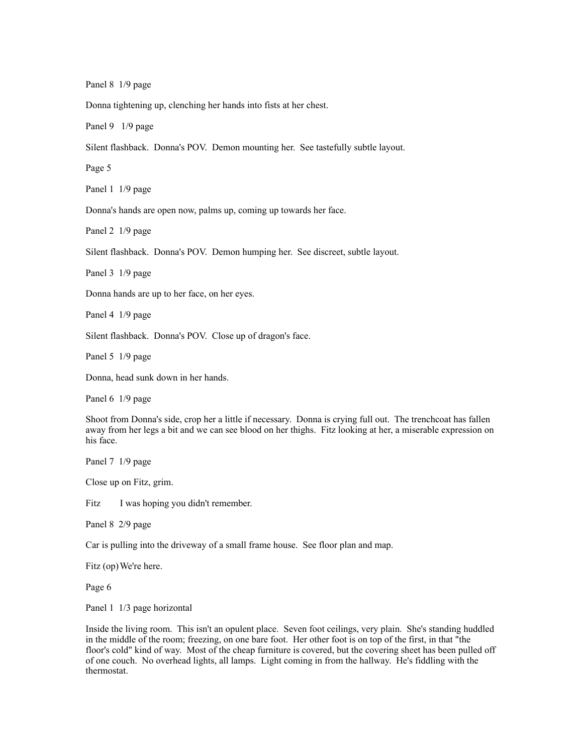Panel 8 1/9 page

Donna tightening up, clenching her hands into fists at her chest.

Panel 9 1/9 page

Silent flashback. Donna's POV. Demon mounting her. See tastefully subtle layout.

Page 5

Panel 1 1/9 page

Donna's hands are open now, palms up, coming up towards her face.

Panel 2 1/9 page

Silent flashback. Donna's POV. Demon humping her. See discreet, subtle layout.

Panel 3 1/9 page

Donna hands are up to her face, on her eyes.

Panel 4 1/9 page

Silent flashback. Donna's POV. Close up of dragon's face.

Panel 5 1/9 page

Donna, head sunk down in her hands.

Panel 6 1/9 page

Shoot from Donna's side, crop her a little if necessary. Donna is crying full out. The trenchcoat has fallen away from her legs a bit and we can see blood on her thighs. Fitz looking at her, a miserable expression on his face.

Panel 7 1/9 page

Close up on Fitz, grim.

Fitz I was hoping you didn't remember.

Panel 8 2/9 page

Car is pulling into the driveway of a small frame house. See floor plan and map.

Fitz (op) We're here.

Page 6

Panel 1 1/3 page horizontal

Inside the living room. This isn't an opulent place. Seven foot ceilings, very plain. She's standing huddled in the middle of the room; freezing, on one bare foot. Her other foot is on top of the first, in that "the floor's cold" kind of way. Most of the cheap furniture is covered, but the covering sheet has been pulled off of one couch. No overhead lights, all lamps. Light coming in from the hallway. He's fiddling with the thermostat.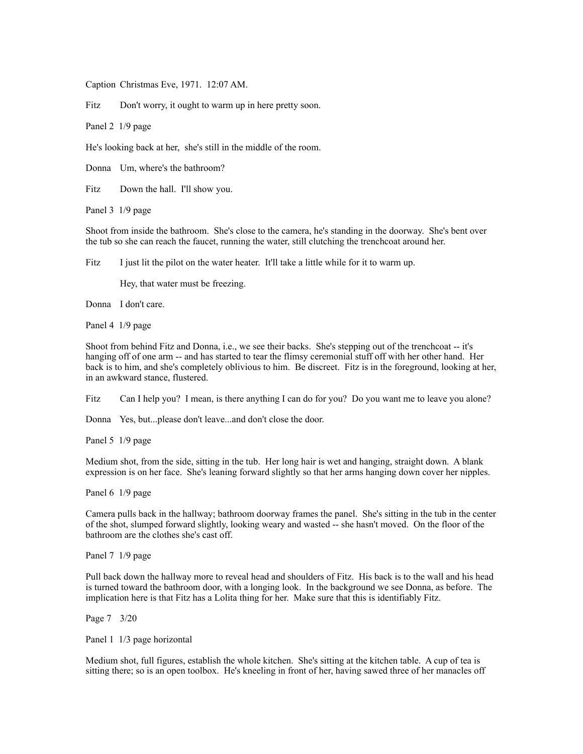Caption Christmas Eve, 1971. 12:07 AM.

Fitz Don't worry, it ought to warm up in here pretty soon.

Panel 2 1/9 page

He's looking back at her, she's still in the middle of the room.

Donna Um, where's the bathroom?

Fitz Down the hall. I'll show you.

Panel 3 1/9 page

Shoot from inside the bathroom. She's close to the camera, he's standing in the doorway. She's bent over the tub so she can reach the faucet, running the water, still clutching the trenchcoat around her.

Fitz I just lit the pilot on the water heater. It'll take a little while for it to warm up.

Hey, that water must be freezing.

Donna I don't care.

Panel 4 1/9 page

Shoot from behind Fitz and Donna, i.e., we see their backs. She's stepping out of the trenchcoat -- it's hanging off of one arm -- and has started to tear the flimsy ceremonial stuff off with her other hand. Her back is to him, and she's completely oblivious to him. Be discreet. Fitz is in the foreground, looking at her, in an awkward stance, flustered.

Fitz Can I help you? I mean, is there anything I can do for you? Do you want me to leave you alone?

Donna Yes, but...please don't leave...and don't close the door.

Panel 5 1/9 page

Medium shot, from the side, sitting in the tub. Her long hair is wet and hanging, straight down. A blank expression is on her face. She's leaning forward slightly so that her arms hanging down cover her nipples.

Panel 6 1/9 page

Camera pulls back in the hallway; bathroom doorway frames the panel. She's sitting in the tub in the center of the shot, slumped forward slightly, looking weary and wasted -- she hasn't moved. On the floor of the bathroom are the clothes she's cast off.

Panel 7 1/9 page

Pull back down the hallway more to reveal head and shoulders of Fitz. His back is to the wall and his head is turned toward the bathroom door, with a longing look. In the background we see Donna, as before. The implication here is that Fitz has a Lolita thing for her. Make sure that this is identifiably Fitz.

Page 7 3/20

Panel 1 1/3 page horizontal

Medium shot, full figures, establish the whole kitchen. She's sitting at the kitchen table. A cup of tea is sitting there; so is an open toolbox. He's kneeling in front of her, having sawed three of her manacles off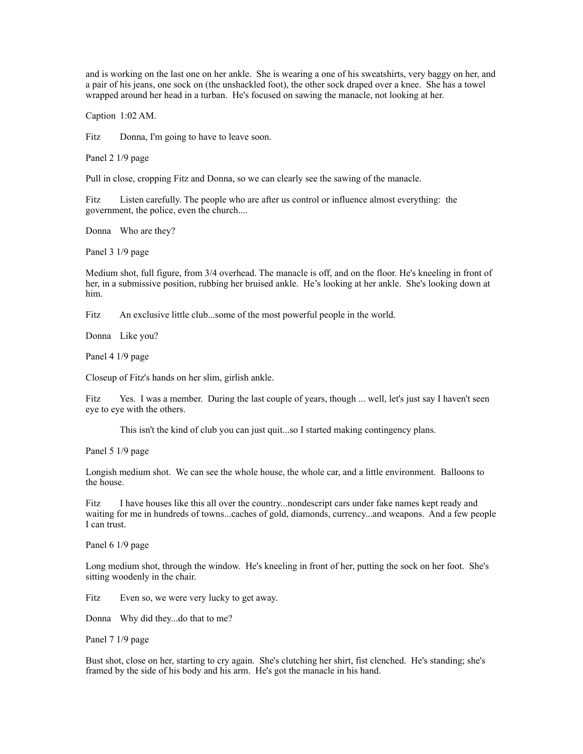and is working on the last one on her ankle. She is wearing a one of his sweatshirts, very baggy on her, and a pair of his jeans, one sock on (the unshackled foot), the other sock draped over a knee. She has a towel wrapped around her head in a turban. He's focused on sawing the manacle, not looking at her.

Caption 1:02 AM.

Fitz Donna, I'm going to have to leave soon.

Panel 2 1/9 page

Pull in close, cropping Fitz and Donna, so we can clearly see the sawing of the manacle.

Fitz Listen carefully. The people who are after us control or influence almost everything: the government, the police, even the church....

Donna Who are they?

Panel 3 1/9 page

Medium shot, full figure, from 3/4 overhead. The manacle is off, and on the floor. He's kneeling in front of her, in a submissive position, rubbing her bruised ankle. He's looking at her ankle. She's looking down at him.

Fitz An exclusive little club...some of the most powerful people in the world.

Donna Like you?

Panel 4 1/9 page

Closeup of Fitz's hands on her slim, girlish ankle.

Fitz Yes. I was a member. During the last couple of years, though ... well, let's just say I haven't seen eye to eye with the others.

This isn't the kind of club you can just quit...so I started making contingency plans.

Panel 5 1/9 page

Longish medium shot. We can see the whole house, the whole car, and a little environment. Balloons to the house.

Fitz I have houses like this all over the country...nondescript cars under fake names kept ready and waiting for me in hundreds of towns...caches of gold, diamonds, currency...and weapons. And a few people I can trust.

Panel 6 1/9 page

Long medium shot, through the window. He's kneeling in front of her, putting the sock on her foot. She's sitting woodenly in the chair.

Fitz Even so, we were very lucky to get away.

Donna Why did they...do that to me?

Panel 7 1/9 page

Bust shot, close on her, starting to cry again. She's clutching her shirt, fist clenched. He's standing; she's framed by the side of his body and his arm. He's got the manacle in his hand.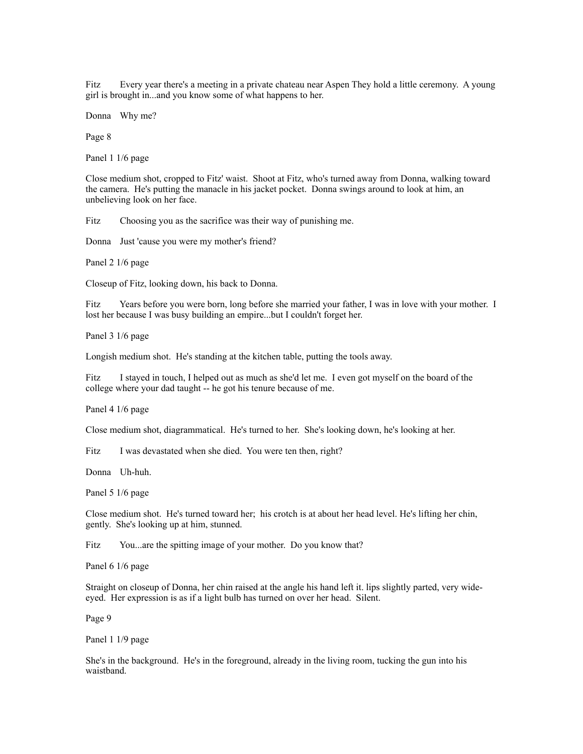Fitz Every year there's a meeting in a private chateau near Aspen They hold a little ceremony. A young girl is brought in...and you know some of what happens to her.

Donna Why me?

Page 8

Panel 1 1/6 page

Close medium shot, cropped to Fitz' waist. Shoot at Fitz, who's turned away from Donna, walking toward the camera. He's putting the manacle in his jacket pocket. Donna swings around to look at him, an unbelieving look on her face.

Fitz Choosing you as the sacrifice was their way of punishing me.

Donna Just 'cause you were my mother's friend?

Panel 2 1/6 page

Closeup of Fitz, looking down, his back to Donna.

Fitz Years before you were born, long before she married your father, I was in love with your mother. I lost her because I was busy building an empire...but I couldn't forget her.

Panel 3 1/6 page

Longish medium shot. He's standing at the kitchen table, putting the tools away.

Fitz I stayed in touch, I helped out as much as she'd let me. I even got myself on the board of the college where your dad taught -- he got his tenure because of me.

Panel 4 1/6 page

Close medium shot, diagrammatical. He's turned to her. She's looking down, he's looking at her.

Fitz I was devastated when she died. You were ten then, right?

Donna Uh-huh.

Panel 5 1/6 page

Close medium shot. He's turned toward her; his crotch is at about her head level. He's lifting her chin, gently. She's looking up at him, stunned.

Fitz You...are the spitting image of your mother. Do you know that?

Panel 6 1/6 page

Straight on closeup of Donna, her chin raised at the angle his hand left it. lips slightly parted, very wideeyed. Her expression is as if a light bulb has turned on over her head. Silent.

Page 9

Panel 1 1/9 page

She's in the background. He's in the foreground, already in the living room, tucking the gun into his waistband.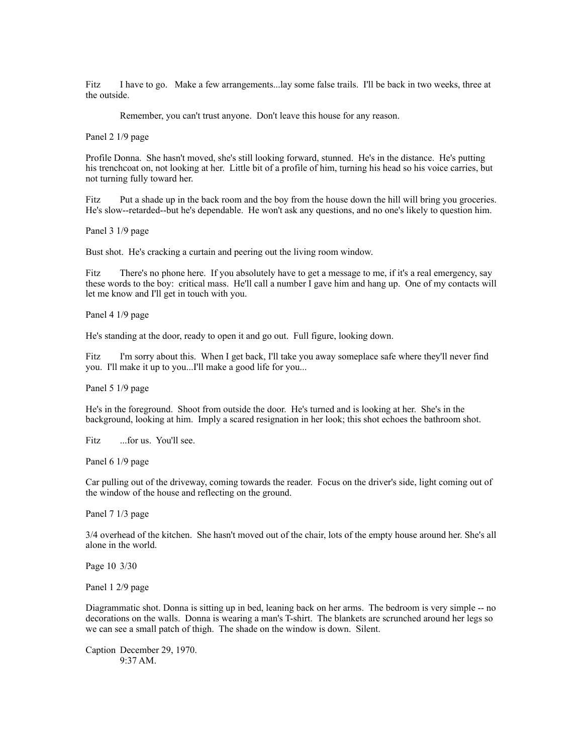Fitz I have to go. Make a few arrangements...lay some false trails. I'll be back in two weeks, three at the outside.

Remember, you can't trust anyone. Don't leave this house for any reason.

Panel 2 1/9 page

Profile Donna. She hasn't moved, she's still looking forward, stunned. He's in the distance. He's putting his trenchcoat on, not looking at her. Little bit of a profile of him, turning his head so his voice carries, but not turning fully toward her.

Fitz Put a shade up in the back room and the boy from the house down the hill will bring you groceries. He's slow--retarded--but he's dependable. He won't ask any questions, and no one's likely to question him.

Panel 3 1/9 page

Bust shot. He's cracking a curtain and peering out the living room window.

Fitz There's no phone here. If you absolutely have to get a message to me, if it's a real emergency, say these words to the boy: critical mass. He'll call a number I gave him and hang up. One of my contacts will let me know and I'll get in touch with you.

Panel 4 1/9 page

He's standing at the door, ready to open it and go out. Full figure, looking down.

Fitz I'm sorry about this. When I get back, I'll take you away someplace safe where they'll never find you. I'll make it up to you...I'll make a good life for you...

Panel 5 1/9 page

He's in the foreground. Shoot from outside the door. He's turned and is looking at her. She's in the background, looking at him. Imply a scared resignation in her look; this shot echoes the bathroom shot.

Fitz ...for us. You'll see.

Panel 6 1/9 page

Car pulling out of the driveway, coming towards the reader. Focus on the driver's side, light coming out of the window of the house and reflecting on the ground.

Panel 7 1/3 page

3/4 overhead of the kitchen. She hasn't moved out of the chair, lots of the empty house around her. She's all alone in the world.

Page 10 3/30

Panel 1 2/9 page

Diagrammatic shot. Donna is sitting up in bed, leaning back on her arms. The bedroom is very simple -- no decorations on the walls. Donna is wearing a man's T-shirt. The blankets are scrunched around her legs so we can see a small patch of thigh. The shade on the window is down. Silent.

Caption December 29, 1970. 9:37 AM.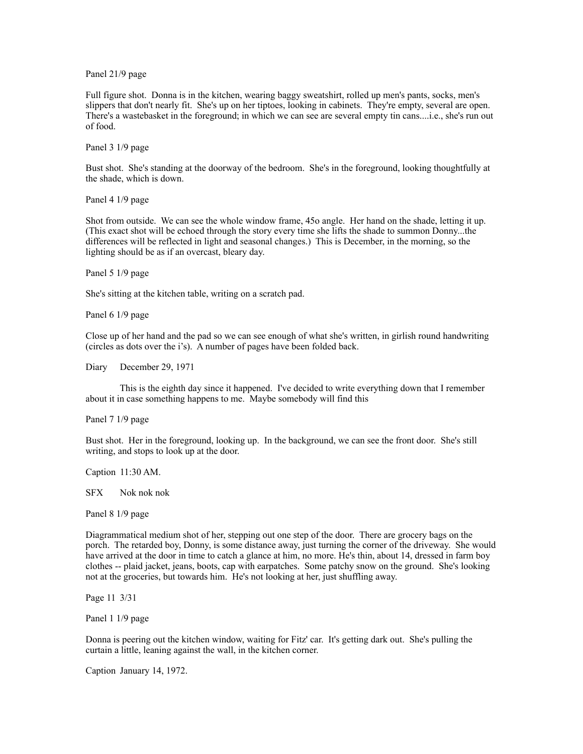Panel 21/9 page

Full figure shot. Donna is in the kitchen, wearing baggy sweatshirt, rolled up men's pants, socks, men's slippers that don't nearly fit. She's up on her tiptoes, looking in cabinets. They're empty, several are open. There's a wastebasket in the foreground; in which we can see are several empty tin cans....i.e., she's run out of food.

Panel 3 1/9 page

Bust shot. She's standing at the doorway of the bedroom. She's in the foreground, looking thoughtfully at the shade, which is down.

Panel 4 1/9 page

Shot from outside. We can see the whole window frame, 45o angle. Her hand on the shade, letting it up. (This exact shot will be echoed through the story every time she lifts the shade to summon Donny...the differences will be reflected in light and seasonal changes.) This is December, in the morning, so the lighting should be as if an overcast, bleary day.

Panel 5 1/9 page

She's sitting at the kitchen table, writing on a scratch pad.

Panel 6 1/9 page

Close up of her hand and the pad so we can see enough of what she's written, in girlish round handwriting (circles as dots over the i's). A number of pages have been folded back.

Diary December 29, 1971

 This is the eighth day since it happened. I've decided to write everything down that I remember about it in case something happens to me. Maybe somebody will find this

Panel 7 1/9 page

Bust shot. Her in the foreground, looking up. In the background, we can see the front door. She's still writing, and stops to look up at the door.

Caption 11:30 AM.

SFX Nok nok nok

Panel 8 1/9 page

Diagrammatical medium shot of her, stepping out one step of the door. There are grocery bags on the porch. The retarded boy, Donny, is some distance away, just turning the corner of the driveway. She would have arrived at the door in time to catch a glance at him, no more. He's thin, about 14, dressed in farm boy clothes -- plaid jacket, jeans, boots, cap with earpatches. Some patchy snow on the ground. She's looking not at the groceries, but towards him. He's not looking at her, just shuffling away.

Page 11 3/31

Panel 1 1/9 page

Donna is peering out the kitchen window, waiting for Fitz' car. It's getting dark out. She's pulling the curtain a little, leaning against the wall, in the kitchen corner.

Caption January 14, 1972.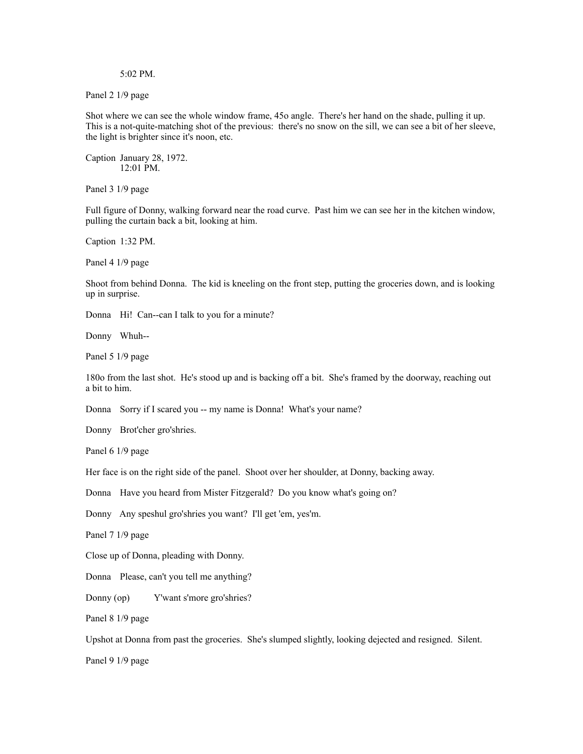5:02 PM.

Panel 2 1/9 page

Shot where we can see the whole window frame, 45o angle. There's her hand on the shade, pulling it up. This is a not-quite-matching shot of the previous: there's no snow on the sill, we can see a bit of her sleeve, the light is brighter since it's noon, etc.

Caption January 28, 1972. 12:01 PM.

Panel 3 1/9 page

Full figure of Donny, walking forward near the road curve. Past him we can see her in the kitchen window, pulling the curtain back a bit, looking at him.

Caption 1:32 PM.

Panel 4 1/9 page

Shoot from behind Donna. The kid is kneeling on the front step, putting the groceries down, and is looking up in surprise.

Donna Hi! Can--can I talk to you for a minute?

Donny Whuh--

Panel 5 1/9 page

180o from the last shot. He's stood up and is backing off a bit. She's framed by the doorway, reaching out a bit to him.

Donna Sorry if I scared you -- my name is Donna! What's your name?

Donny Brot'cher gro'shries.

Panel 6 1/9 page

Her face is on the right side of the panel. Shoot over her shoulder, at Donny, backing away.

Donna Have you heard from Mister Fitzgerald? Do you know what's going on?

Donny Any speshul gro'shries you want? I'll get 'em, yes'm.

Panel 7 1/9 page

Close up of Donna, pleading with Donny.

Donna Please, can't you tell me anything?

Donny (op) Y'want s'more gro'shries?

Panel 8 1/9 page

Upshot at Donna from past the groceries. She's slumped slightly, looking dejected and resigned. Silent.

Panel 9 1/9 page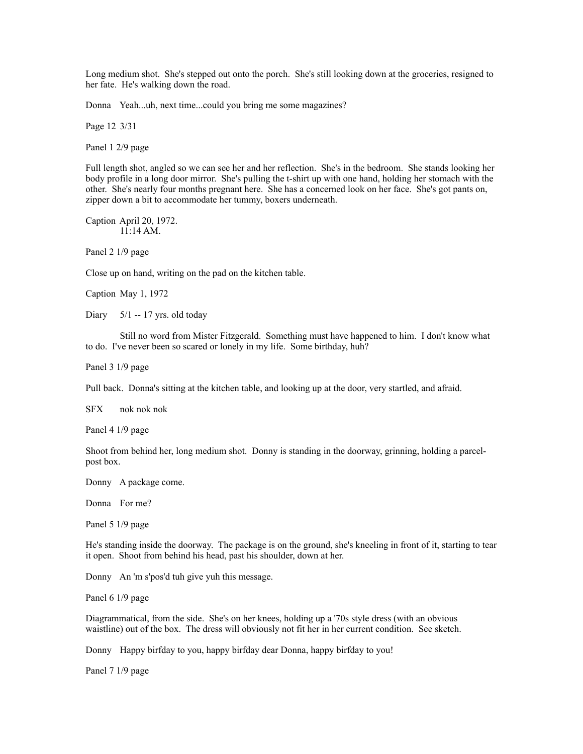Long medium shot. She's stepped out onto the porch. She's still looking down at the groceries, resigned to her fate. He's walking down the road.

Donna Yeah...uh, next time...could you bring me some magazines?

Page 12 3/31

Panel 1 2/9 page

Full length shot, angled so we can see her and her reflection. She's in the bedroom. She stands looking her body profile in a long door mirror. She's pulling the t-shirt up with one hand, holding her stomach with the other. She's nearly four months pregnant here. She has a concerned look on her face. She's got pants on, zipper down a bit to accommodate her tummy, boxers underneath.

Caption April 20, 1972. 11:14 AM.

Panel 2 1/9 page

Close up on hand, writing on the pad on the kitchen table.

Caption May 1, 1972

Diary  $5/1 - 17$  yrs. old today

 Still no word from Mister Fitzgerald. Something must have happened to him. I don't know what to do. I've never been so scared or lonely in my life. Some birthday, huh?

Panel 3 1/9 page

Pull back. Donna's sitting at the kitchen table, and looking up at the door, very startled, and afraid.

SFX nok nok nok

Panel 4 1/9 page

Shoot from behind her, long medium shot. Donny is standing in the doorway, grinning, holding a parcelpost box.

Donny A package come.

Donna For me?

Panel 5 1/9 page

He's standing inside the doorway. The package is on the ground, she's kneeling in front of it, starting to tear it open. Shoot from behind his head, past his shoulder, down at her.

Donny An 'm s'pos'd tuh give yuh this message.

Panel 6 1/9 page

Diagrammatical, from the side. She's on her knees, holding up a '70s style dress (with an obvious waistline) out of the box. The dress will obviously not fit her in her current condition. See sketch.

Donny Happy birfday to you, happy birfday dear Donna, happy birfday to you!

Panel 7 1/9 page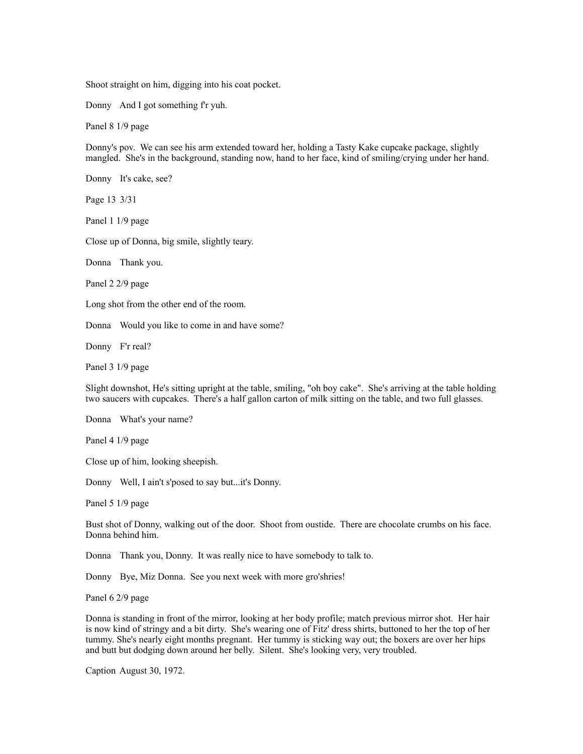Shoot straight on him, digging into his coat pocket.

Donny And I got something f'r yuh.

Panel 8 1/9 page

Donny's pov. We can see his arm extended toward her, holding a Tasty Kake cupcake package, slightly mangled. She's in the background, standing now, hand to her face, kind of smiling/crying under her hand.

Donny It's cake, see?

Page 13 3/31

Panel 1 1/9 page

Close up of Donna, big smile, slightly teary.

Donna Thank you.

Panel 2 2/9 page

Long shot from the other end of the room.

Donna Would you like to come in and have some?

Donny F'r real?

Panel 3 1/9 page

Slight downshot, He's sitting upright at the table, smiling, "oh boy cake". She's arriving at the table holding two saucers with cupcakes. There's a half gallon carton of milk sitting on the table, and two full glasses.

Donna What's your name?

Panel 4 1/9 page

Close up of him, looking sheepish.

Donny Well, I ain't s'posed to say but...it's Donny.

Panel 5 1/9 page

Bust shot of Donny, walking out of the door. Shoot from oustide. There are chocolate crumbs on his face. Donna behind him.

Donna Thank you, Donny. It was really nice to have somebody to talk to.

Donny Bye, Miz Donna. See you next week with more gro'shries!

Panel 6 2/9 page

Donna is standing in front of the mirror, looking at her body profile; match previous mirror shot. Her hair is now kind of stringy and a bit dirty. She's wearing one of Fitz' dress shirts, buttoned to her the top of her tummy. She's nearly eight months pregnant. Her tummy is sticking way out; the boxers are over her hips and butt but dodging down around her belly. Silent. She's looking very, very troubled.

Caption August 30, 1972.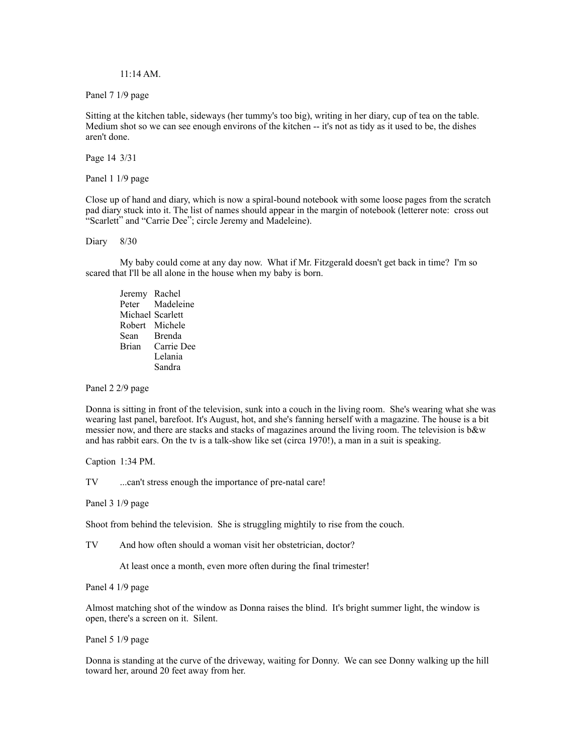## 11:14 AM.

Panel 7 1/9 page

Sitting at the kitchen table, sideways (her tummy's too big), writing in her diary, cup of tea on the table. Medium shot so we can see enough environs of the kitchen -- it's not as tidy as it used to be, the dishes aren't done.

Page 14 3/31

Panel 1 1/9 page

Close up of hand and diary, which is now a spiral-bound notebook with some loose pages from the scratch pad diary stuck into it. The list of names should appear in the margin of notebook (letterer note: cross out "Scarlett" and "Carrie Dee"; circle Jeremy and Madeleine).

Diary 8/30

 My baby could come at any day now. What if Mr. Fitzgerald doesn't get back in time? I'm so scared that I'll be all alone in the house when my baby is born.

 Jeremy Rachel Peter Madeleine Michael Scarlett Robert Michele Sean Brenda<br>Brian Carrie I Carrie Dee Lelania Sandra

Panel 2 2/9 page

Donna is sitting in front of the television, sunk into a couch in the living room. She's wearing what she was wearing last panel, barefoot. It's August, hot, and she's fanning herself with a magazine. The house is a bit messier now, and there are stacks and stacks of magazines around the living room. The television is b&w and has rabbit ears. On the tv is a talk-show like set (circa 1970!), a man in a suit is speaking.

Caption 1:34 PM.

TV ...can't stress enough the importance of pre-natal care!

Panel 3 1/9 page

Shoot from behind the television. She is struggling mightily to rise from the couch.

TV And how often should a woman visit her obstetrician, doctor?

At least once a month, even more often during the final trimester!

Panel 4 1/9 page

Almost matching shot of the window as Donna raises the blind. It's bright summer light, the window is open, there's a screen on it. Silent.

Panel 5 1/9 page

Donna is standing at the curve of the driveway, waiting for Donny. We can see Donny walking up the hill toward her, around 20 feet away from her.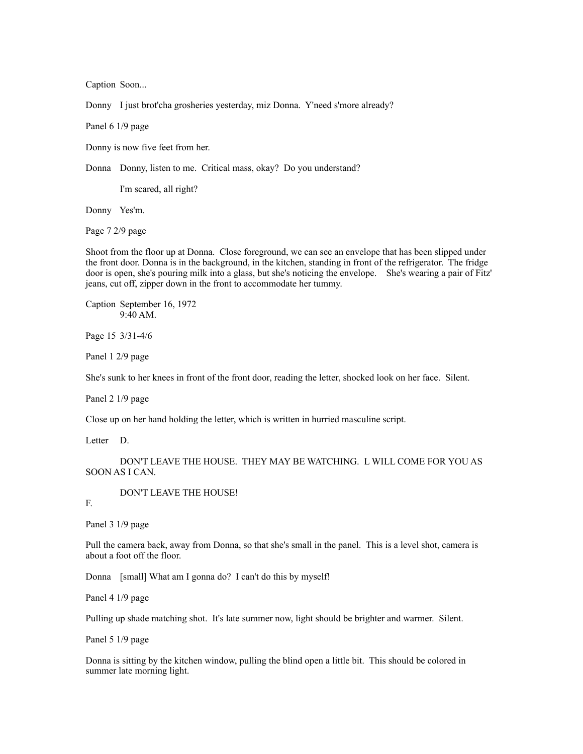Caption Soon...

Donny I just brot'cha grosheries yesterday, miz Donna. Y'need s'more already?

Panel 6 1/9 page

Donny is now five feet from her.

Donna Donny, listen to me. Critical mass, okay? Do you understand?

I'm scared, all right?

Donny Yes'm.

Page 7 2/9 page

Shoot from the floor up at Donna. Close foreground, we can see an envelope that has been slipped under the front door. Donna is in the background, in the kitchen, standing in front of the refrigerator. The fridge door is open, she's pouring milk into a glass, but she's noticing the envelope. She's wearing a pair of Fitz' jeans, cut off, zipper down in the front to accommodate her tummy.

Caption September 16, 1972 9:40 AM.

Page 15 3/31-4/6

Panel 1 2/9 page

She's sunk to her knees in front of the front door, reading the letter, shocked look on her face. Silent.

Panel 2 1/9 page

Close up on her hand holding the letter, which is written in hurried masculine script.

Letter D.

 DON'T LEAVE THE HOUSE. THEY MAY BE WATCHING. L WILL COME FOR YOU AS SOON AS I CAN.

DON'T LEAVE THE HOUSE!

F.

Panel 3 1/9 page

Pull the camera back, away from Donna, so that she's small in the panel. This is a level shot, camera is about a foot off the floor.

Donna [small] What am I gonna do? I can't do this by myself!

Panel 4 1/9 page

Pulling up shade matching shot. It's late summer now, light should be brighter and warmer. Silent.

Panel 5 1/9 page

Donna is sitting by the kitchen window, pulling the blind open a little bit. This should be colored in summer late morning light.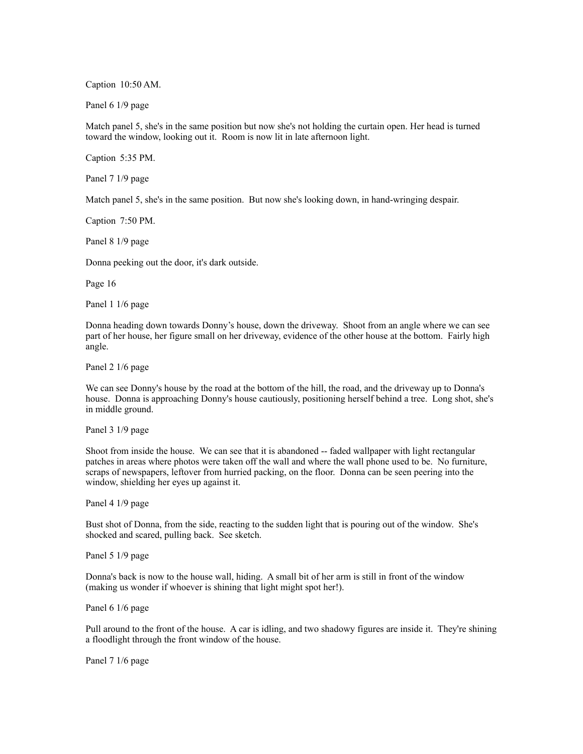Caption 10:50 AM.

Panel 6 1/9 page

Match panel 5, she's in the same position but now she's not holding the curtain open. Her head is turned toward the window, looking out it. Room is now lit in late afternoon light.

Caption 5:35 PM.

Panel 7 1/9 page

Match panel 5, she's in the same position. But now she's looking down, in hand-wringing despair.

Caption 7:50 PM.

Panel 8 1/9 page

Donna peeking out the door, it's dark outside.

Page 16

Panel 1 1/6 page

Donna heading down towards Donny's house, down the driveway. Shoot from an angle where we can see part of her house, her figure small on her driveway, evidence of the other house at the bottom. Fairly high angle.

Panel 2 1/6 page

We can see Donny's house by the road at the bottom of the hill, the road, and the driveway up to Donna's house. Donna is approaching Donny's house cautiously, positioning herself behind a tree. Long shot, she's in middle ground.

Panel 3 1/9 page

Shoot from inside the house. We can see that it is abandoned -- faded wallpaper with light rectangular patches in areas where photos were taken off the wall and where the wall phone used to be. No furniture, scraps of newspapers, leftover from hurried packing, on the floor. Donna can be seen peering into the window, shielding her eyes up against it.

Panel 4 1/9 page

Bust shot of Donna, from the side, reacting to the sudden light that is pouring out of the window. She's shocked and scared, pulling back. See sketch.

Panel 5 1/9 page

Donna's back is now to the house wall, hiding. A small bit of her arm is still in front of the window (making us wonder if whoever is shining that light might spot her!).

Panel 6 1/6 page

Pull around to the front of the house. A car is idling, and two shadowy figures are inside it. They're shining a floodlight through the front window of the house.

Panel 7 1/6 page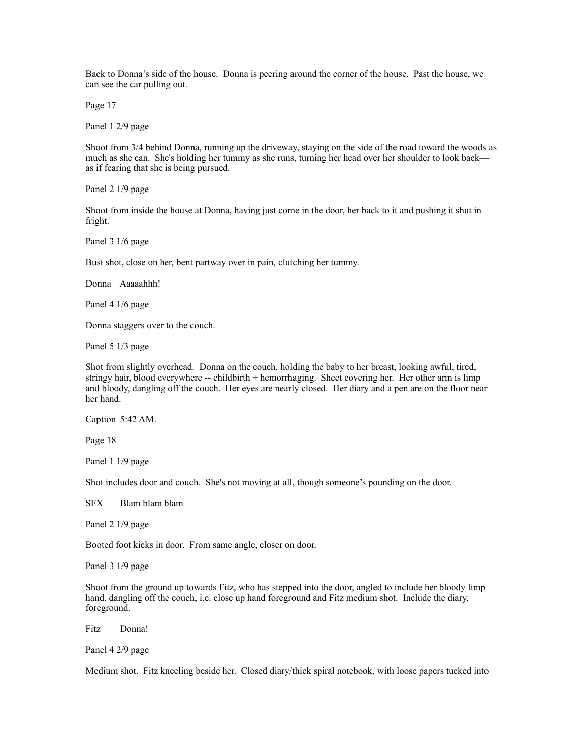Back to Donna's side of the house. Donna is peering around the corner of the house. Past the house, we can see the car pulling out.

Page 17

Panel 1 2/9 page

Shoot from 3/4 behind Donna, running up the driveway, staying on the side of the road toward the woods as much as she can. She's holding her tummy as she runs, turning her head over her shoulder to look back as if fearing that she is being pursued.

Panel 2 1/9 page

Shoot from inside the house at Donna, having just come in the door, her back to it and pushing it shut in fright.

Panel 3 1/6 page

Bust shot, close on her, bent partway over in pain, clutching her tummy.

Donna Aaaaahhh!

Panel 4 1/6 page

Donna staggers over to the couch.

Panel 5 1/3 page

Shot from slightly overhead. Donna on the couch, holding the baby to her breast, looking awful, tired, stringy hair, blood everywhere -- childbirth + hemorrhaging. Sheet covering her. Her other arm is limp and bloody, dangling off the couch. Her eyes are nearly closed. Her diary and a pen are on the floor near her hand.

Caption 5:42 AM.

Page 18

Panel 1 1/9 page

Shot includes door and couch. She's not moving at all, though someone's pounding on the door.

SFX Blam blam blam

Panel 2 1/9 page

Booted foot kicks in door. From same angle, closer on door.

Panel 3 1/9 page

Shoot from the ground up towards Fitz, who has stepped into the door, angled to include her bloody limp hand, dangling off the couch, i.e. close up hand foreground and Fitz medium shot. Include the diary, foreground.

Fitz Donna!

Panel 4 2/9 page

Medium shot. Fitz kneeling beside her. Closed diary/thick spiral notebook, with loose papers tucked into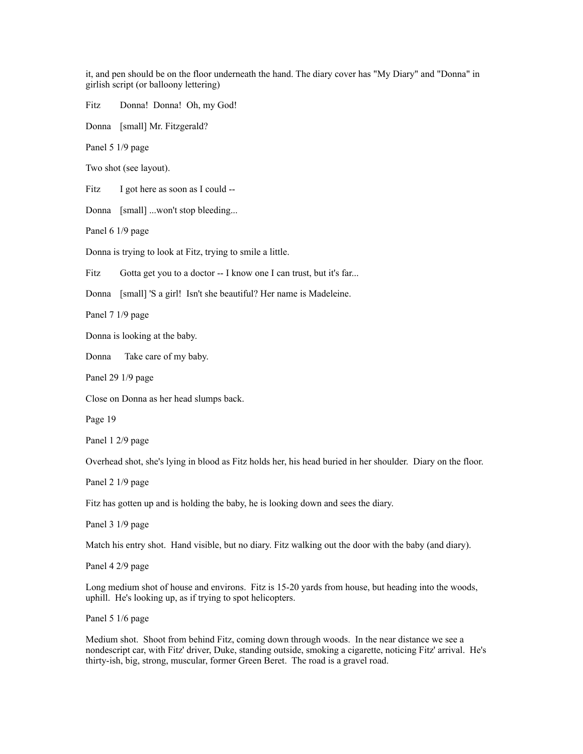it, and pen should be on the floor underneath the hand. The diary cover has "My Diary" and "Donna" in girlish script (or balloony lettering)

Fitz Donna! Donna! Oh, my God!

Donna [small] Mr. Fitzgerald?

Panel 5 1/9 page

Two shot (see layout).

Fitz I got here as soon as I could --

Donna [small] ...won't stop bleeding...

Panel 6 1/9 page

Donna is trying to look at Fitz, trying to smile a little.

Fitz Gotta get you to a doctor -- I know one I can trust, but it's far...

Donna [small] 'S a girl! Isn't she beautiful? Her name is Madeleine.

Panel 7 1/9 page

Donna is looking at the baby.

Donna Take care of my baby.

Panel 29 1/9 page

Close on Donna as her head slumps back.

Page 19

Panel 1 2/9 page

Overhead shot, she's lying in blood as Fitz holds her, his head buried in her shoulder. Diary on the floor.

Panel 2 1/9 page

Fitz has gotten up and is holding the baby, he is looking down and sees the diary.

Panel 3 1/9 page

Match his entry shot. Hand visible, but no diary. Fitz walking out the door with the baby (and diary).

Panel 4 2/9 page

Long medium shot of house and environs. Fitz is 15-20 yards from house, but heading into the woods, uphill. He's looking up, as if trying to spot helicopters.

Panel 5 1/6 page

Medium shot. Shoot from behind Fitz, coming down through woods. In the near distance we see a nondescript car, with Fitz' driver, Duke, standing outside, smoking a cigarette, noticing Fitz' arrival. He's thirty-ish, big, strong, muscular, former Green Beret. The road is a gravel road.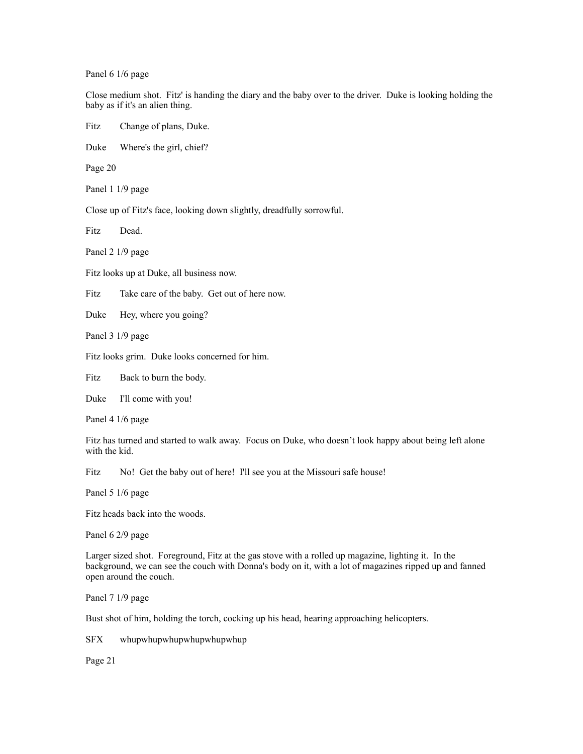Panel 6 1/6 page

Close medium shot. Fitz' is handing the diary and the baby over to the driver. Duke is looking holding the baby as if it's an alien thing.

Fitz Change of plans, Duke.

Duke Where's the girl, chief?

Page 20

Panel 1 1/9 page

Close up of Fitz's face, looking down slightly, dreadfully sorrowful.

Fitz Dead.

Panel 2 1/9 page

Fitz looks up at Duke, all business now.

Fitz Take care of the baby. Get out of here now.

Duke Hey, where you going?

Panel 3 1/9 page

Fitz looks grim. Duke looks concerned for him.

Fitz Back to burn the body.

Duke I'll come with you!

Panel 4 1/6 page

Fitz has turned and started to walk away. Focus on Duke, who doesn't look happy about being left alone with the kid.

Fitz No! Get the baby out of here! I'll see you at the Missouri safe house!

Panel 5 1/6 page

Fitz heads back into the woods.

Panel 6 2/9 page

Larger sized shot. Foreground, Fitz at the gas stove with a rolled up magazine, lighting it. In the background, we can see the couch with Donna's body on it, with a lot of magazines ripped up and fanned open around the couch.

Panel 7 1/9 page

Bust shot of him, holding the torch, cocking up his head, hearing approaching helicopters.

SFX whupwhupwhupwhupwhupwhup

Page 21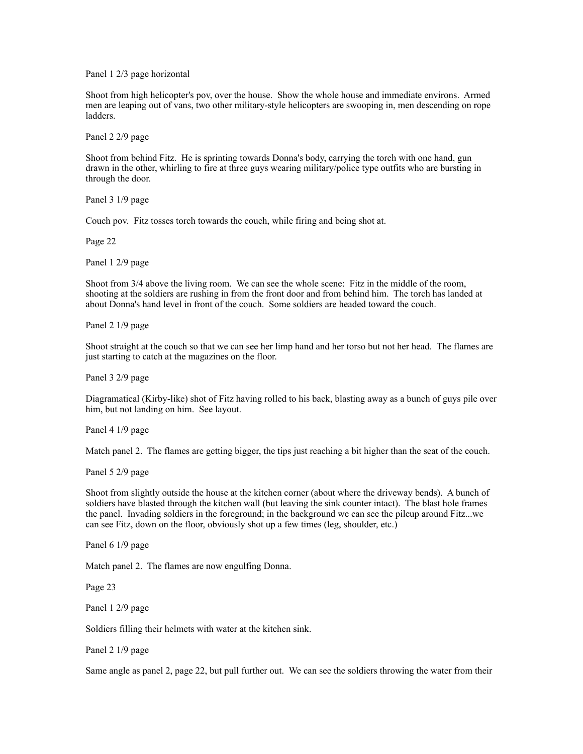Panel 1 2/3 page horizontal

Shoot from high helicopter's pov, over the house. Show the whole house and immediate environs. Armed men are leaping out of vans, two other military-style helicopters are swooping in, men descending on rope ladders.

Panel 2 2/9 page

Shoot from behind Fitz. He is sprinting towards Donna's body, carrying the torch with one hand, gun drawn in the other, whirling to fire at three guys wearing military/police type outfits who are bursting in through the door.

Panel 3 1/9 page

Couch pov. Fitz tosses torch towards the couch, while firing and being shot at.

Page 22

Panel 1 2/9 page

Shoot from 3/4 above the living room. We can see the whole scene: Fitz in the middle of the room, shooting at the soldiers are rushing in from the front door and from behind him. The torch has landed at about Donna's hand level in front of the couch. Some soldiers are headed toward the couch.

Panel 2 1/9 page

Shoot straight at the couch so that we can see her limp hand and her torso but not her head. The flames are just starting to catch at the magazines on the floor.

Panel 3 2/9 page

Diagramatical (Kirby-like) shot of Fitz having rolled to his back, blasting away as a bunch of guys pile over him, but not landing on him. See layout.

Panel 4 1/9 page

Match panel 2. The flames are getting bigger, the tips just reaching a bit higher than the seat of the couch.

Panel 5 2/9 page

Shoot from slightly outside the house at the kitchen corner (about where the driveway bends). A bunch of soldiers have blasted through the kitchen wall (but leaving the sink counter intact). The blast hole frames the panel. Invading soldiers in the foreground; in the background we can see the pileup around Fitz...we can see Fitz, down on the floor, obviously shot up a few times (leg, shoulder, etc.)

Panel 6 1/9 page

Match panel 2. The flames are now engulfing Donna.

Page 23

Panel 1 2/9 page

Soldiers filling their helmets with water at the kitchen sink.

Panel 2 1/9 page

Same angle as panel 2, page 22, but pull further out. We can see the soldiers throwing the water from their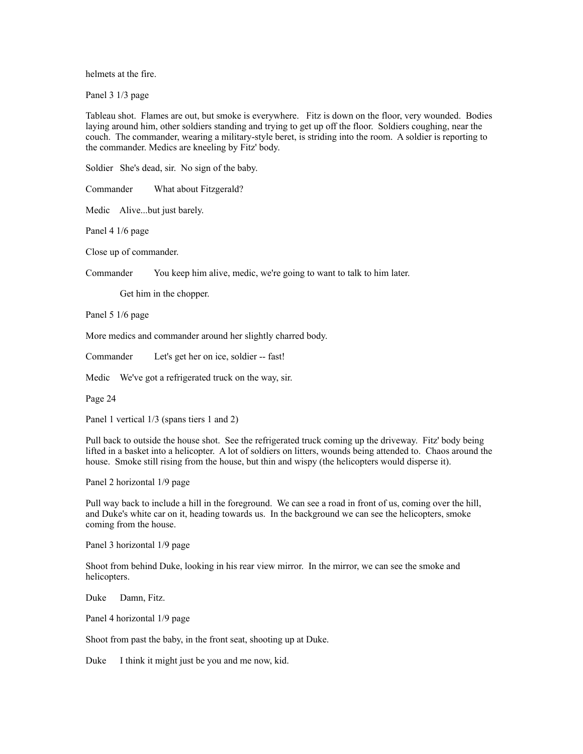helmets at the fire.

Panel 3 1/3 page

Tableau shot. Flames are out, but smoke is everywhere. Fitz is down on the floor, very wounded. Bodies laying around him, other soldiers standing and trying to get up off the floor. Soldiers coughing, near the couch. The commander, wearing a military-style beret, is striding into the room. A soldier is reporting to the commander. Medics are kneeling by Fitz' body.

Soldier She's dead, sir. No sign of the baby.

Commander What about Fitzgerald?

Medic Alive...but just barely.

Panel 4 1/6 page

Close up of commander.

Commander You keep him alive, medic, we're going to want to talk to him later.

Get him in the chopper.

Panel 5 1/6 page

More medics and commander around her slightly charred body.

Commander Let's get her on ice, soldier -- fast!

Medic We've got a refrigerated truck on the way, sir.

Page 24

Panel 1 vertical  $1/3$  (spans tiers 1 and 2)

Pull back to outside the house shot. See the refrigerated truck coming up the driveway. Fitz' body being lifted in a basket into a helicopter. A lot of soldiers on litters, wounds being attended to. Chaos around the house. Smoke still rising from the house, but thin and wispy (the helicopters would disperse it).

Panel 2 horizontal 1/9 page

Pull way back to include a hill in the foreground. We can see a road in front of us, coming over the hill, and Duke's white car on it, heading towards us. In the background we can see the helicopters, smoke coming from the house.

Panel 3 horizontal 1/9 page

Shoot from behind Duke, looking in his rear view mirror. In the mirror, we can see the smoke and helicopters.

Duke Damn, Fitz.

Panel 4 horizontal 1/9 page

Shoot from past the baby, in the front seat, shooting up at Duke.

Duke I think it might just be you and me now, kid.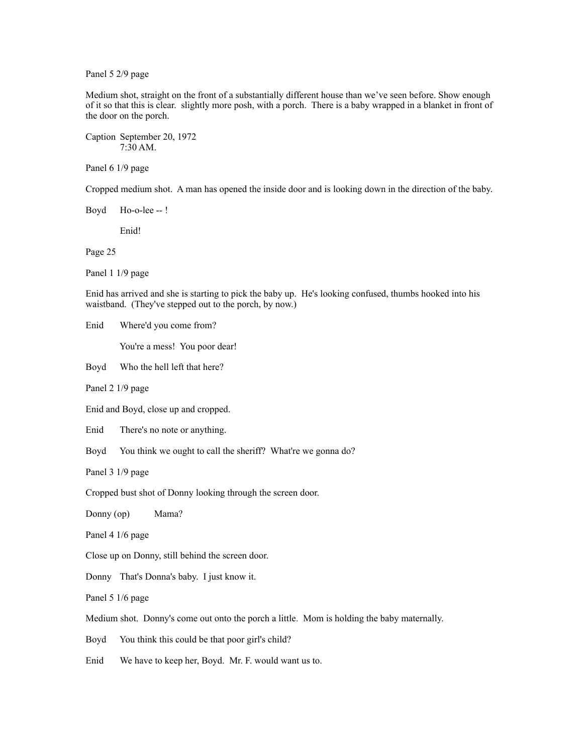Panel 5 2/9 page

Medium shot, straight on the front of a substantially different house than we've seen before. Show enough of it so that this is clear. slightly more posh, with a porch. There is a baby wrapped in a blanket in front of the door on the porch.

Caption September 20, 1972 7:30 AM.

Panel 6 1/9 page

Cropped medium shot. A man has opened the inside door and is looking down in the direction of the baby.

Boyd Ho-o-lee -- !

Enid!

Page 25

Panel 1 1/9 page

Enid has arrived and she is starting to pick the baby up. He's looking confused, thumbs hooked into his waistband. (They've stepped out to the porch, by now.)

Enid Where'd you come from?

You're a mess! You poor dear!

Boyd Who the hell left that here?

Panel 2 1/9 page

Enid and Boyd, close up and cropped.

Enid There's no note or anything.

Boyd You think we ought to call the sheriff? What're we gonna do?

Panel 3 1/9 page

Cropped bust shot of Donny looking through the screen door.

Donny (op) Mama?

Panel 4 1/6 page

Close up on Donny, still behind the screen door.

Donny That's Donna's baby. I just know it.

Panel 5 1/6 page

Medium shot. Donny's come out onto the porch a little. Mom is holding the baby maternally.

Boyd You think this could be that poor girl's child?

Enid We have to keep her, Boyd. Mr. F. would want us to.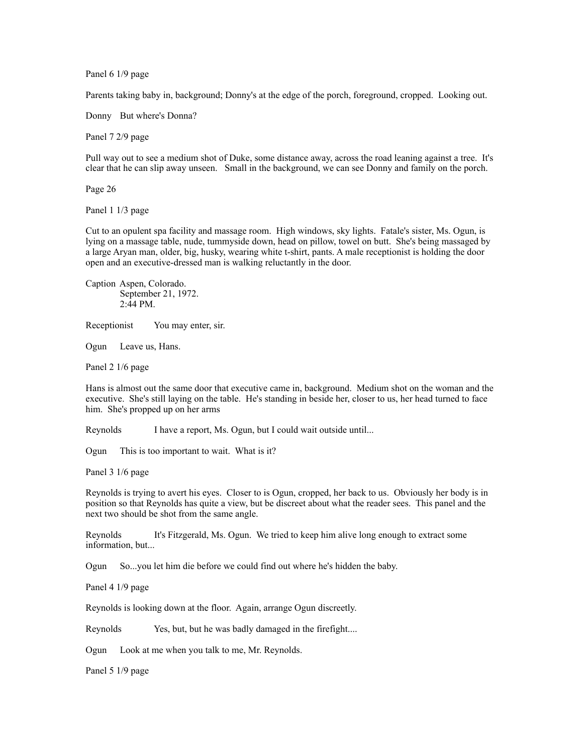Panel 6 1/9 page

Parents taking baby in, background; Donny's at the edge of the porch, foreground, cropped. Looking out.

Donny But where's Donna?

Panel 7 2/9 page

Pull way out to see a medium shot of Duke, some distance away, across the road leaning against a tree. It's clear that he can slip away unseen. Small in the background, we can see Donny and family on the porch.

Page 26

Panel 1 1/3 page

Cut to an opulent spa facility and massage room. High windows, sky lights. Fatale's sister, Ms. Ogun, is lying on a massage table, nude, tummyside down, head on pillow, towel on butt. She's being massaged by a large Aryan man, older, big, husky, wearing white t-shirt, pants. A male receptionist is holding the door open and an executive-dressed man is walking reluctantly in the door.

Caption Aspen, Colorado. September 21, 1972. 2:44 PM.

Receptionist You may enter, sir.

Ogun Leave us, Hans.

Panel 2 1/6 page

Hans is almost out the same door that executive came in, background. Medium shot on the woman and the executive. She's still laying on the table. He's standing in beside her, closer to us, her head turned to face him. She's propped up on her arms

Reynolds I have a report, Ms. Ogun, but I could wait outside until...

Ogun This is too important to wait. What is it?

Panel 3 1/6 page

Reynolds is trying to avert his eyes. Closer to is Ogun, cropped, her back to us. Obviously her body is in position so that Reynolds has quite a view, but be discreet about what the reader sees. This panel and the next two should be shot from the same angle.

Reynolds It's Fitzgerald, Ms. Ogun. We tried to keep him alive long enough to extract some information, but...

Ogun So...you let him die before we could find out where he's hidden the baby.

Panel 4 1/9 page

Reynolds is looking down at the floor. Again, arrange Ogun discreetly.

Reynolds Yes, but, but he was badly damaged in the firefight....

Ogun Look at me when you talk to me, Mr. Reynolds.

Panel 5 1/9 page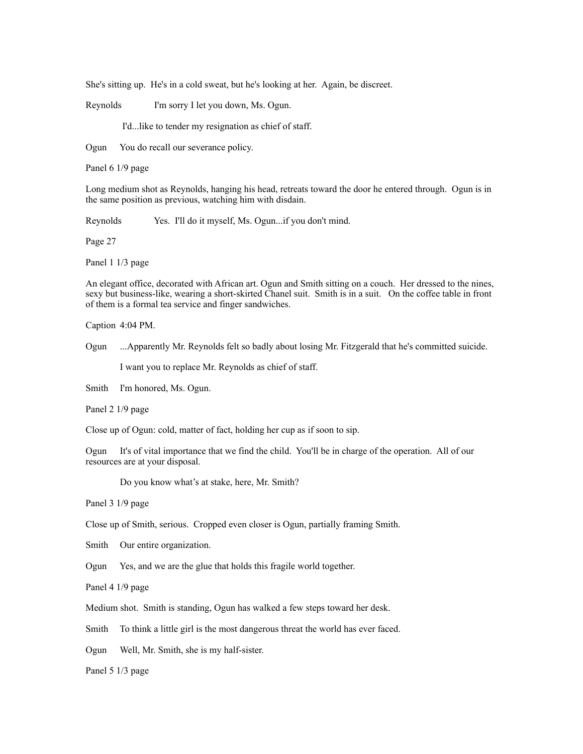She's sitting up. He's in a cold sweat, but he's looking at her. Again, be discreet.

Reynolds I'm sorry I let you down, Ms. Ogun.

I'd...like to tender my resignation as chief of staff.

Ogun You do recall our severance policy.

Panel 6 1/9 page

Long medium shot as Reynolds, hanging his head, retreats toward the door he entered through. Ogun is in the same position as previous, watching him with disdain.

Reynolds Yes. I'll do it myself, Ms. Ogun...if you don't mind.

Page 27

Panel 1 1/3 page

An elegant office, decorated with African art. Ogun and Smith sitting on a couch. Her dressed to the nines, sexy but business-like, wearing a short-skirted Chanel suit. Smith is in a suit. On the coffee table in front of them is a formal tea service and finger sandwiches.

Caption 4:04 PM.

Ogun ...Apparently Mr. Reynolds felt so badly about losing Mr. Fitzgerald that he's committed suicide.

I want you to replace Mr. Reynolds as chief of staff.

Smith I'm honored, Ms. Ogun.

Panel 2 1/9 page

Close up of Ogun: cold, matter of fact, holding her cup as if soon to sip.

Ogun It's of vital importance that we find the child. You'll be in charge of the operation. All of our resources are at your disposal.

Do you know what's at stake, here, Mr. Smith?

Panel 3 1/9 page

Close up of Smith, serious. Cropped even closer is Ogun, partially framing Smith.

Smith Our entire organization.

Ogun Yes, and we are the glue that holds this fragile world together.

Panel 4 1/9 page

Medium shot. Smith is standing, Ogun has walked a few steps toward her desk.

Smith To think a little girl is the most dangerous threat the world has ever faced.

Ogun Well, Mr. Smith, she is my half-sister.

Panel 5 1/3 page